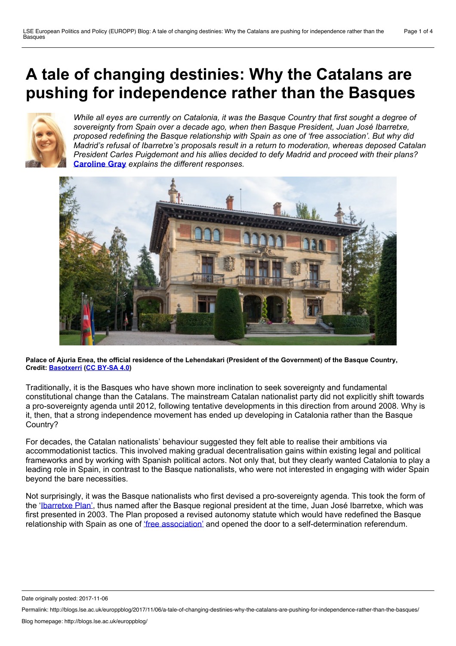# <span id="page-0-0"></span>**A tale of changing destinies: Why the Catalans are pushing for independence rather than the Basques**



*While all eyes are currently on Catalonia, it was the Basque Country that first sought a degree of sovereignty from Spain over a decade ago, when then Basque President, Juan José Ibarretxe, proposed redefining the Basque relationship with Spain as one of 'free association'. But why did Madrid's refusal of Ibarretxe's proposals result in a return to moderation, whereas deposed Catalan President Carles Puigdemont and his allies decided to defy Madrid and proceed with their plans?* **[Caroline](#page-0-0) Gray** *explains the different responses.*



Palace of Ajuria Enea, the official residence of the Lehendakari (President of the Government) of the Basque Country,<br>Credit: Basotxerri (CC BY-SA 4.0)

Traditionally, it is the Basques who have shown more inclination to seek sovereignty and fundamental constitutional change than the Catalans. The mainstream Catalan nationalist party did not explicitly shift towards a pro-sovereignty agenda until 2012, following tentative developments in this direction from around 2008. Why is it, then, that a strong independence movement has ended up developing in Catalonia rather than the Basque Country?

For decades, the Catalan nationalists' behaviour suggested they felt able to realise their ambitions via accommodationist tactics. This involved making gradual decentralisation gains within existing legal and political frameworks and by working with Spanish political actors. Not only that, but they clearly wanted Catalonia to play a leading role in Spain, in contrast to the Basque nationalists, who were not interested in engaging with wider Spain beyond the bare necessities.

Not surprisingly, it was the Basque nationalists who first devised a pro-sovereignty agenda. This took the form of the ['Ibarretxe](http://www.tandfonline.com/doi/abs/10.1080/17449050600865503?journalCode=reno20) Plan', thus named after the Basque regional president at the time, Juan José Ibarretxe, which was first presented in 2003. The Plan proposed a revised autonomy statute which would have redefined the Basque relationship with Spain as one of 'free [association'](http://news.bbc.co.uk/1/hi/world/europe/4136333.stm) and opened the door to a self-determination referendum.

Date originally posted: 2017-11-06

Permalink: http://blogs.lse.ac.uk/europpblog/2017/11/06/a-tale-of-changing-destinies-why-the-catalans-are-pushing-for-independence-rather-than-the-basques/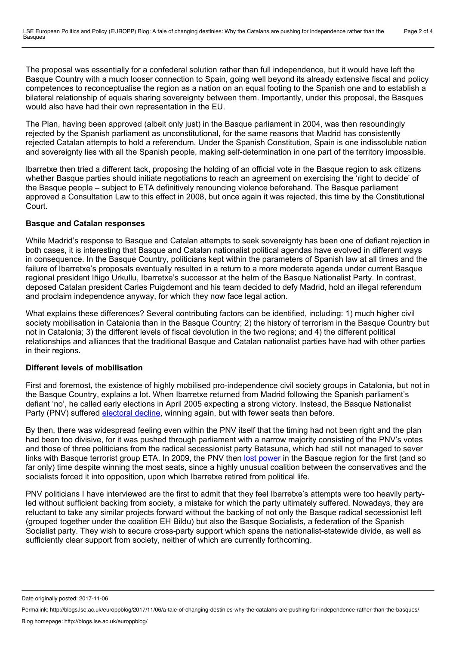The proposal was essentially for a confederal solution rather than full independence, but it would have left the Basque Country with a much looser connection to Spain, going well beyond its already extensive fiscal and policy competences to reconceptualise the region as a nation on an equal footing to the Spanish one and to establish a bilateral relationship of equals sharing sovereignty between them. Importantly, under this proposal, the Basques would also have had their own representation in the EU.

The Plan, having been approved (albeit only just) in the Basque parliament in 2004, was then resoundingly rejected by the Spanish parliament as unconstitutional, for the same reasons that Madrid has consistently rejected Catalan attempts to hold a referendum. Under the Spanish Constitution, Spain is one indissoluble nation and sovereignty lies with all the Spanish people, making self-determination in one part of the territory impossible.

Ibarretxe then tried a different tack, proposing the holding of an official vote in the Basque region to ask citizens whether Basque parties should initiate negotiations to reach an agreement on exercising the 'right to decide' of the Basque people – subject to ETA definitively renouncing violence beforehand. The Basque parliament approved a Consultation Law to this effect in 2008, but once again it was rejected, this time by the Constitutional Court.

## **Basque and Catalan responses**

While Madrid's response to Basque and Catalan attempts to seek sovereignty has been one of defiant rejection in both cases, it is interesting that Basque and Catalan nationalist political agendas have evolved in different ways in consequence. In the Basque Country, politicians kept within the parameters of Spanish law at all times and the failure of Ibarretxe's proposals eventually resulted in a return to a more moderate agenda under current Basque regional president Iñigo Urkullu, Ibarretxe's successor at the helm of the Basque Nationalist Party. In contrast, deposed Catalan president Carles Puigdemont and his team decided to defy Madrid, hold an illegal referendum and proclaim independence anyway, for which they now face legal action.

What explains these differences? Several contributing factors can be identified, including: 1) much higher civil society mobilisation in Catalonia than in the Basque Country; 2) the history of terrorism in the Basque Country but not in Catalonia; 3) the different levels of fiscal devolution in the two regions; and 4) the different political relationships and alliances that the traditional Basque and Catalan nationalist parties have had with other parties in their regions.

# **Different levels of mobilisation**

First and foremost, the existence of highly mobilised pro-independence civil society groups in Catalonia, but not in the Basque Country, explains a lot. When Ibarretxe returned from Madrid following the Spanish parliament's defiant 'no', he called early elections in April 2005 expecting a strong victory. Instead, the Basque Nationalist Party (PNV) suffered [electoral](http://news.bbc.co.uk/1/hi/world/europe/4453239.stm) decline, winning again, but with fewer seats than before.

By then, there was widespread feeling even within the PNV itself that the timing had not been right and the plan had been too divisive, for it was pushed through parliament with a narrow majority consisting of the PNV's votes and those of three politicians from the radical secessionist party Batasuna, which had still not managed to sever links with Basque terrorist group ETA. In 2009, the PNV then lost [power](https://www.theguardian.com/world/2009/mar/02/spain-basque-country-election) in the Basque region for the first (and so far only) time despite winning the most seats, since a highly unusual coalition between the conservatives and the socialists forced it into opposition, upon which Ibarretxe retired from political life.

PNV politicians I have interviewed are the first to admit that they feel Ibarretxe's attempts were too heavily partyled without sufficient backing from society, a mistake for which the party ultimately suffered. Nowadays, they are reluctant to take any similar projects forward without the backing of not only the Basque radical secessionist left (grouped together under the coalition EH Bildu) but also the Basque Socialists, a federation of the Spanish Socialist party. They wish to secure cross-party support which spans the nationalist-statewide divide, as well as sufficiently clear support from society, neither of which are currently forthcoming.

Date originally posted: 2017-11-06

Permalink: http://blogs.lse.ac.uk/europpblog/2017/11/06/a-tale-of-changing-destinies-why-the-catalans-are-pushing-for-independence-rather-than-the-basques/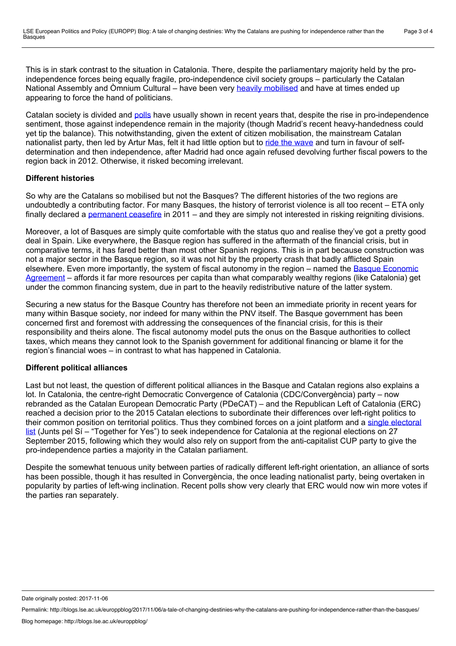This is in stark contrast to the situation in Catalonia. There, despite the parliamentary majority held by the proindependence forces being equally fragile, pro-independence civil society groups – particularly the Catalan National Assembly and Òmnium Cultural – have been very heavily [mobilised](http://www.tandfonline.com/doi/abs/10.1080/13537113.2015.1003491) and have at times ended up appearing to force the hand of politicians.

Catalan society is divided and [polls](https://www.politico.eu/article/catalonia-independence-spain-support-for-drops-poll/) have usually shown in recent years that, despite the rise in pro-independence sentiment, those against independence remain in the majority (though Madrid's recent heavy-handedness could yet tip the balance). This notwithstanding, given the extent of citizen mobilisation, the mainstream Catalan nationalist party, then led by Artur Mas, felt it had little option but to ride the [wave](https://www.theguardian.com/world/2012/nov/19/catalonia-leader-secessionist-wave) and turn in favour of selfdetermination and then independence, after Madrid had once again refused devolving further fiscal powers to the region back in 2012. Otherwise, it risked becoming irrelevant.

## **Different histories**

So why are the Catalans so mobilised but not the Basques? The different histories of the two regions are undoubtedly a contributing factor. For many Basques, the history of terrorist violence is all too recent – ETA only finally declared a [permanent](https://www.theguardian.com/world/2011/jan/10/eta-declares-permanent-ceasefire) ceasefire in 2011 – and they are simply not interested in risking reigniting divisions.

Moreover, a lot of Basques are simply quite comfortable with the status quo and realise they've got a pretty good deal in Spain. Like everywhere, the Basque region has suffered in the aftermath of the financial crisis, but in comparative terms, it has fared better than most other Spanish regions. This is in part because construction was not a major sector in the Basque region, so it was not hit by the property crash that badly afflicted Spain elsewhere. Even more [importantly,](http://www.conciertoeconomico.org/en/about-the-economic-agreement) the system of fiscal autonomy in the region – named the Basque Economic Agreement – affords it far more resources per capita than what comparably wealthy regions (like Catalonia) get under the common financing system, due in part to the heavily redistributive nature of the latter system.

Securing a new status for the Basque Country has therefore not been an immediate priority in recent years for many within Basque society, nor indeed for many within the PNV itself. The Basque government has been concerned first and foremost with addressing the consequences of the financial crisis, for this is their responsibility and theirs alone. The fiscal autonomy model puts the onus on the Basque authorities to collect taxes, which means they cannot look to the Spanish government for additional financing or blame it for the region's financial woes – in contrast to what has happened in Catalonia.

# **Different political alliances**

Last but not least, the question of different political alliances in the Basque and Catalan regions also explains a lot. In Catalonia, the centre-right Democratic Convergence of Catalonia (CDC/Convergència) party – now rebranded as the Catalan European Democratic Party (PDeCAT) – and the Republican Left of Catalonia (ERC) reached a decision prior to the 2015 Catalan elections to subordinate their differences over left-right politics to their common position on territorial politics. Thus they combined forces on a joint platform and a single electoral list (Junts pel Sí – "Together for Yes") to seek [independence](https://www.thespainreport.com/articles/39-150715010209-pro-independence-groups-in-catalonia-to-fight-elections-as-joint-force-in-new-challenge-to-madrid) for Catalonia at the regional elections on 27 September 2015, following which they would also rely on support from the anti-capitalist CUP party to give the pro-independence parties a majority in the Catalan parliament.

Despite the somewhat tenuous unity between parties of radically different left-right orientation, an alliance of sorts has been possible, though it has resulted in Convergència, the once leading nationalist party, being overtaken in popularity by parties of left-wing inclination. Recent polls show very clearly that ERC would now win more votes if the parties ran separately.

Date originally posted: 2017-11-06

Permalink: http://blogs.lse.ac.uk/europpblog/2017/11/06/a-tale-of-changing-destinies-why-the-catalans-are-pushing-for-independence-rather-than-the-basques/